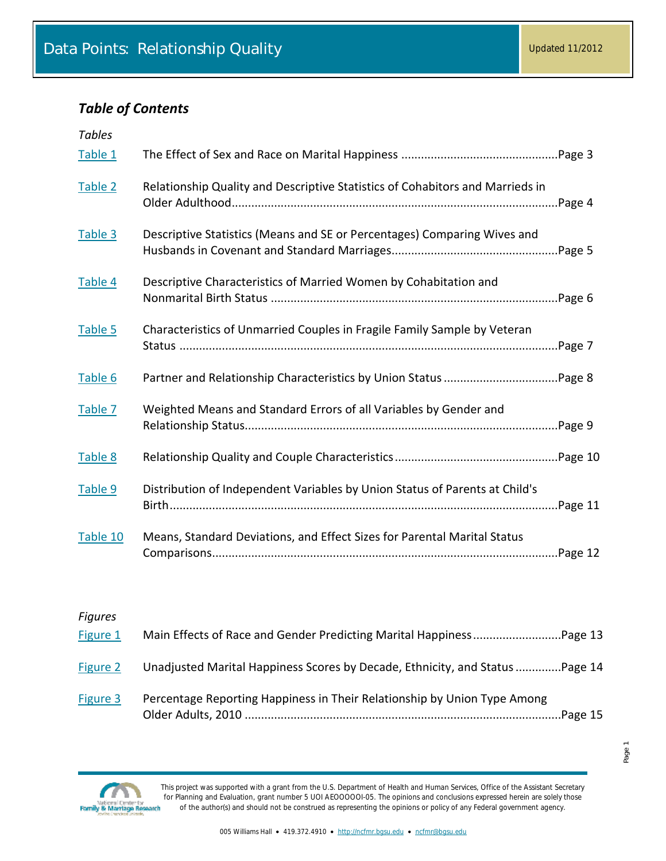### *Table of Contents*

| <b>Tables</b> |                                                                                          |
|---------------|------------------------------------------------------------------------------------------|
| Table 1       |                                                                                          |
| Table 2       | Relationship Quality and Descriptive Statistics of Cohabitors and Marrieds in<br>nPage 4 |
| Table 3       | Descriptive Statistics (Means and SE or Percentages) Comparing Wives and                 |
| Table 4       | Descriptive Characteristics of Married Women by Cohabitation and                         |
| Table 5       | Characteristics of Unmarried Couples in Fragile Family Sample by Veteran                 |
| Table 6       |                                                                                          |
| Table 7       | Weighted Means and Standard Errors of all Variables by Gender and                        |
| Table 8       |                                                                                          |
| Table 9       | Distribution of Independent Variables by Union Status of Parents at Child's              |
| Table 10      | Means, Standard Deviations, and Effect Sizes for Parental Marital Status                 |

#### *Figures*

| Figure 1 |                                                                               |  |
|----------|-------------------------------------------------------------------------------|--|
| Figure 2 | Unadjusted Marital Happiness Scores by Decade, Ethnicity, and Status  Page 14 |  |
| Figure 3 | Percentage Reporting Happiness in Their Relationship by Union Type Among      |  |

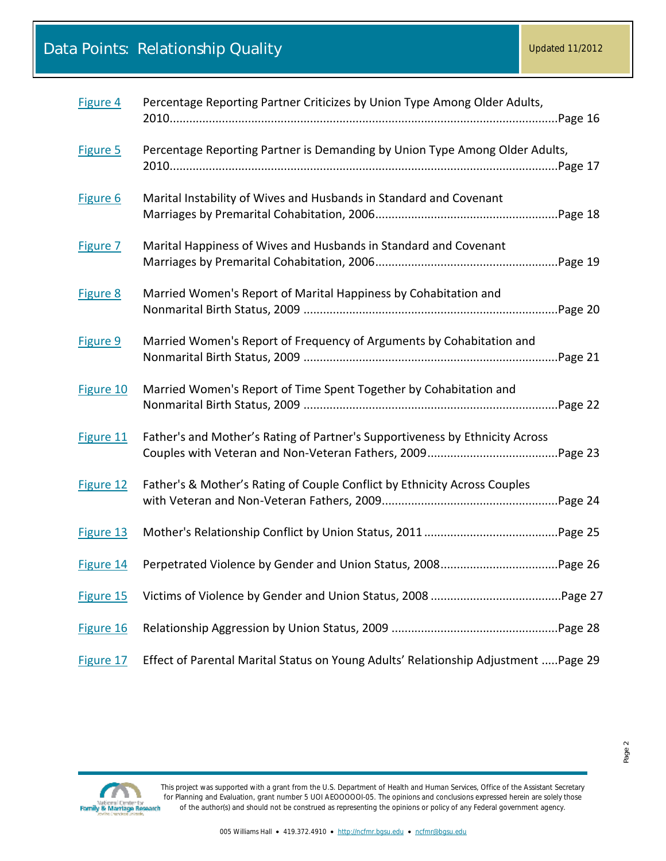| Figure 4  | Percentage Reporting Partner Criticizes by Union Type Among Older Adults,           |
|-----------|-------------------------------------------------------------------------------------|
| Figure 5  | Percentage Reporting Partner is Demanding by Union Type Among Older Adults,         |
| Figure 6  | Marital Instability of Wives and Husbands in Standard and Covenant                  |
| Figure 7  | Marital Happiness of Wives and Husbands in Standard and Covenant                    |
| Figure 8  | Married Women's Report of Marital Happiness by Cohabitation and                     |
| Figure 9  | Married Women's Report of Frequency of Arguments by Cohabitation and                |
| Figure 10 | Married Women's Report of Time Spent Together by Cohabitation and                   |
| Figure 11 | Father's and Mother's Rating of Partner's Supportiveness by Ethnicity Across        |
| Figure 12 | Father's & Mother's Rating of Couple Conflict by Ethnicity Across Couples           |
| Figure 13 |                                                                                     |
| Figure 14 |                                                                                     |
| Figure 15 |                                                                                     |
| Figure 16 |                                                                                     |
| Figure 17 | Effect of Parental Marital Status on Young Adults' Relationship Adjustment  Page 29 |



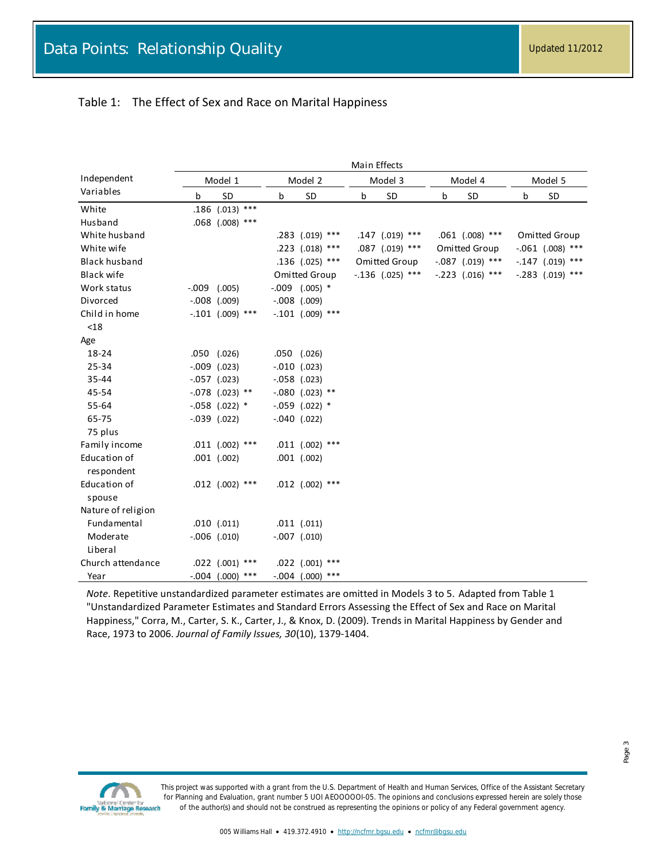#### <span id="page-2-0"></span>Table 1: The Effect of Sex and Race on Marital Happiness

|                      |         |                           |         |                     |   | Main Effects        |   |                      |   |                    |  |
|----------------------|---------|---------------------------|---------|---------------------|---|---------------------|---|----------------------|---|--------------------|--|
| Independent          | Model 1 |                           | Model 2 |                     |   | Model 3             |   | Model 4              |   | Model 5            |  |
| Variables            | b       | SD                        | b       | SD                  | b | SD                  | b | SD                   | b | SD                 |  |
| White                |         | .186 $(.013)$ ***         |         |                     |   |                     |   |                      |   |                    |  |
| Husband              |         | $.068$ (.008) ***         |         |                     |   |                     |   |                      |   |                    |  |
| White husband        |         |                           |         | .283 (.019) ***     |   | .147 (.019) ***     |   | $.061$ $(.008)$ ***  |   | Omitted Group      |  |
| White wife           |         |                           |         | $.223$ $(.018)$ *** |   | $.087$ $(.019)$ *** |   | <b>Omitted Group</b> |   | $-.061$ (.008) *** |  |
| <b>Black husband</b> |         |                           |         | $.136$ $(.025)$ *** |   | Omitted Group       |   | $-.087$ (.019) ***   |   | $-.147$ (.019) *** |  |
| Black wife           |         |                           |         | Omitted Group       |   | $-.136$ (.025) ***  |   | $-.223$ $(.016)$ *** |   | $-.283$ (.019) *** |  |
| Work status          | -.009   | (.005)                    |         | $-0.09$ $(.005)$ *  |   |                     |   |                      |   |                    |  |
| Divorced             |         | $-.008$ $(.009)$          |         | $-.008$ $(.009)$    |   |                     |   |                      |   |                    |  |
| Child in home        |         | $-.101$ (.009) ***        |         | $-.101$ (.009) ***  |   |                     |   |                      |   |                    |  |
| < 18                 |         |                           |         |                     |   |                     |   |                      |   |                    |  |
| Age                  |         |                           |         |                     |   |                     |   |                      |   |                    |  |
| 18-24                |         | $.050$ $(.026)$           |         | $.050$ $(.026)$     |   |                     |   |                      |   |                    |  |
| 25-34                |         | $-.009$ $(.023)$          |         | $-.010$ $(.023)$    |   |                     |   |                      |   |                    |  |
| 35-44                |         | $-.057$ $(.023)$          |         | $-.058$ $(.023)$    |   |                     |   |                      |   |                    |  |
| 45-54                |         | $-.078$ (.023) **         |         | $-.080$ (.023) **   |   |                     |   |                      |   |                    |  |
| 55-64                |         | $-.058$ (.022) *          |         | $-.059$ $(.022)$ *  |   |                     |   |                      |   |                    |  |
| 65-75                |         | $-.039$ $(.022)$          |         | $-.040$ $(.022)$    |   |                     |   |                      |   |                    |  |
| 75 plus              |         |                           |         |                     |   |                     |   |                      |   |                    |  |
| Family income        |         | $.011$ $(.002)$ ***       |         | $.011$ $(.002)$ *** |   |                     |   |                      |   |                    |  |
| Education of         |         | $.001$ $(.002)$           |         | $.001$ $(.002)$     |   |                     |   |                      |   |                    |  |
| respondent           |         |                           |         |                     |   |                     |   |                      |   |                    |  |
| Education of         |         | $.012$ $(.002)$ ***       |         | .012 $(.002)$ ***   |   |                     |   |                      |   |                    |  |
| spouse               |         |                           |         |                     |   |                     |   |                      |   |                    |  |
| Nature of religion   |         |                           |         |                     |   |                     |   |                      |   |                    |  |
| Fundamental          |         | $.010$ $(.011)$           |         | $.011$ $(.011)$     |   |                     |   |                      |   |                    |  |
| Moderate             |         | $-.006$ $(.010)$          |         | $-.007$ $(.010)$    |   |                     |   |                      |   |                    |  |
| Liberal              |         |                           |         |                     |   |                     |   |                      |   |                    |  |
| Church attendance    |         | $.022$ $(.001)$ ***       |         | .022 (.001) ***     |   |                     |   |                      |   |                    |  |
| Year                 |         | $***$<br>$-.004$ $(.000)$ |         | $-.004$ (.000) ***  |   |                     |   |                      |   |                    |  |

*Note*. Repetitive unstandardized parameter estimates are omitted in Models 3 to 5. Adapted from Table 1 "Unstandardized Parameter Estimates and Standard Errors Assessing the Effect of Sex and Race on Marital Happiness," Corra, M., Carter, S. K., Carter, J., & Knox, D. (2009). Trends in Marital Happiness by Gender and Race, 1973 to 2006. *Journal of Family Issues, 30*(10), 1379-1404.

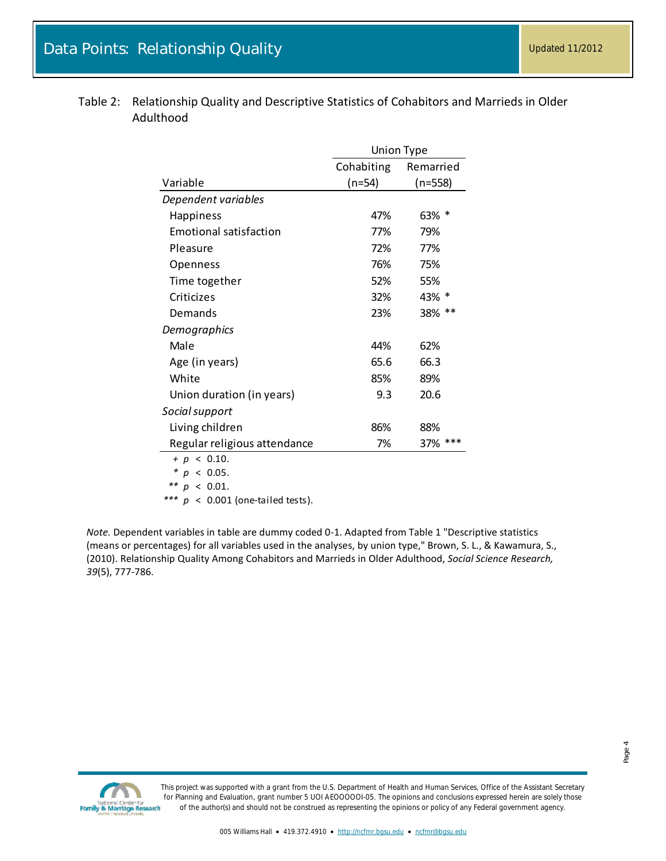|                               | <b>Union Type</b> |              |  |  |  |
|-------------------------------|-------------------|--------------|--|--|--|
|                               | Cohabiting        | Remarried    |  |  |  |
| Variable                      | $(n=54)$          | $(n=558)$    |  |  |  |
| Dependent variables           |                   |              |  |  |  |
| <b>Happiness</b>              | 47%               | 63% *        |  |  |  |
| <b>Emotional satisfaction</b> | 77%               | 79%          |  |  |  |
| Pleasure                      | 72%               | 77%          |  |  |  |
| Openness                      | 76%               | 75%          |  |  |  |
| Time together                 | 52%               | 55%          |  |  |  |
| Criticizes                    | 32%               | 43% *        |  |  |  |
| Demands                       | 23%               | $***$<br>38% |  |  |  |
| Demographics                  |                   |              |  |  |  |
| Male                          | 44%               | 62%          |  |  |  |
| Age (in years)                | 65.6              | 66.3         |  |  |  |
| White                         | 85%               | 89%          |  |  |  |
| Union duration (in years)     | 9.3               | 20.6         |  |  |  |
| Social support                |                   |              |  |  |  |
| Living children               | 86%               | 88%          |  |  |  |
| Regular religious attendance  | 7%                | $***$<br>37% |  |  |  |
| $+ p < 0.10$ .                |                   |              |  |  |  |
| * $p$ < 0.05.                 |                   |              |  |  |  |

<span id="page-3-0"></span>

| Table 2: Relationship Quality and Descriptive Statistics of Cohabitors and Marrieds in Older |
|----------------------------------------------------------------------------------------------|
| Adulthood                                                                                    |

|  | $+ p < 0.10$ .    |  |  |
|--|-------------------|--|--|
|  | * $p$ < 0.05.     |  |  |
|  | ** $p \lt 0.01$ . |  |  |

*\*\*\* p* < 0.001 (one-tailed tests).

*Note.* Dependent variables in table are dummy coded 0-1. Adapted from Table 1 "Descriptive statistics (means or percentages) for all variables used in the analyses, by union type," Brown, S. L., & Kawamura, S., (2010). Relationship Quality Among Cohabitors and Marrieds in Older Adulthood, *Social Science Research, 39*(5), 777-786.

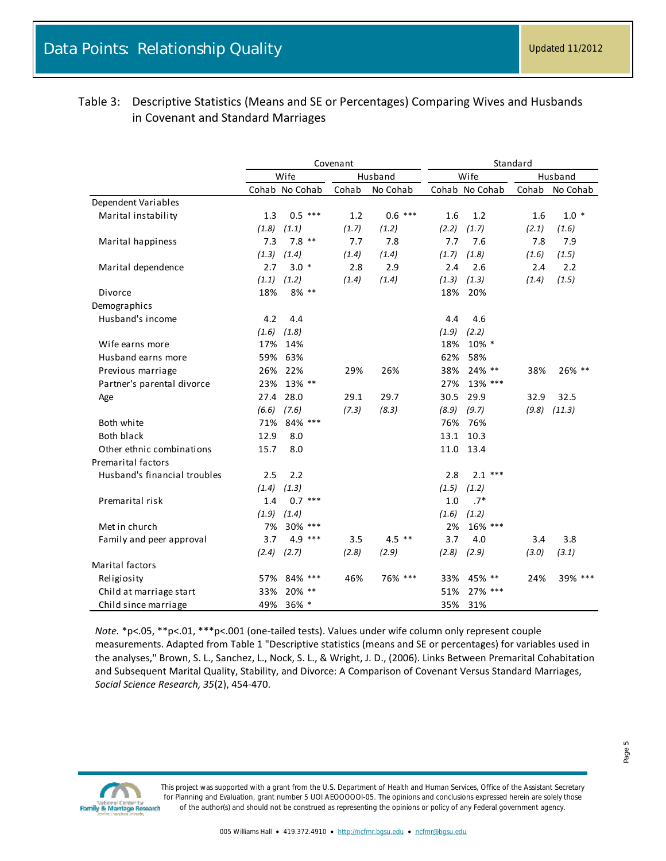### <span id="page-4-0"></span>Table 3: Descriptive Statistics (Means and SE or Percentages) Comparing Wives and Husbands in Covenant and Standard Marriages

|                              | Covenant |                |         |           | Standard |                |       |          |
|------------------------------|----------|----------------|---------|-----------|----------|----------------|-------|----------|
|                              |          | Wife           | Husband |           | Wife     |                |       | Husband  |
|                              |          | Cohab No Cohab | Cohab   | No Cohab  |          | Cohab No Cohab | Cohab | No Cohab |
| Dependent Variables          |          |                |         |           |          |                |       |          |
| Marital instability          | 1.3      | $0.5$ ***      | 1.2     | $0.6$ *** | 1.6      | 1.2            | 1.6   | $1.0*$   |
|                              | (1.8)    | (1.1)          | (1.7)   | (1.2)     | (2.2)    | (1.7)          | (2.1) | (1.6)    |
| Marital happiness            | 7.3      | $7.8$ **       | 7.7     | 7.8       | 7.7      | 7.6            | 7.8   | 7.9      |
|                              | (1.3)    | (1.4)          | (1.4)   | (1.4)     | (1.7)    | (1.8)          | (1.6) | (1.5)    |
| Marital dependence           | 2.7      | $3.0*$         | 2.8     | 2.9       | 2.4      | 2.6            | 2.4   | 2.2      |
|                              | (1.1)    | (1.2)          | (1.4)   | (1.4)     | (1.3)    | (1.3)          | (1.4) | (1.5)    |
| Divorce                      | 18%      | 8% **          |         |           | 18%      | 20%            |       |          |
| Demographics                 |          |                |         |           |          |                |       |          |
| Husband's income             | 4.2      | 4.4            |         |           | 4.4      | 4.6            |       |          |
|                              | (1.6)    | (1.8)          |         |           | (1.9)    | (2.2)          |       |          |
| Wife earns more              | 17%      | 14%            |         |           | 18%      | 10% *          |       |          |
| Husband earns more           | 59%      | 63%            |         |           | 62%      | 58%            |       |          |
| Previous marriage            | 26%      | 22%            | 29%     | 26%       | 38%      | 24% **         | 38%   | 26% **   |
| Partner's parental divorce   | 23%      | 13% **         |         |           | 27%      | 13% ***        |       |          |
| Age                          | 27.4     | 28.0           | 29.1    | 29.7      | 30.5     | 29.9           | 32.9  | 32.5     |
|                              | (6.6)    | (7.6)          | (7.3)   | (8.3)     | (8.9)    | (9.7)          | (9.8) | (11.3)   |
| Both white                   | 71%      | 84% ***        |         |           | 76%      | 76%            |       |          |
| <b>Both black</b>            | 12.9     | 8.0            |         |           | 13.1     | 10.3           |       |          |
| Other ethnic combinations    | 15.7     | 8.0            |         |           | 11.0     | 13.4           |       |          |
| <b>Premarital factors</b>    |          |                |         |           |          |                |       |          |
| Husband's financial troubles | 2.5      | 2.2            |         |           | 2.8      | $2.1***$       |       |          |
|                              | (1.4)    | (1.3)          |         |           | (1.5)    | (1.2)          |       |          |
| Premarital risk              | 1.4      | $0.7***$       |         |           | 1.0      | $.7*$          |       |          |
|                              | (1.9)    | (1.4)          |         |           | (1.6)    | (1.2)          |       |          |
| Met in church                | 7%       | 30% ***        |         |           | 2%       | 16% ***        |       |          |
| Family and peer approval     | 3.7      | $4.9***$       | 3.5     | $4.5$ **  | 3.7      | 4.0            | 3.4   | 3.8      |
|                              | (2.4)    | (2.7)          | (2.8)   | (2.9)     | (2.8)    | (2.9)          | (3.0) | (3.1)    |
| <b>Marital factors</b>       |          |                |         |           |          |                |       |          |
| Religiosity                  | 57%      | 84% ***        | 46%     | 76% ***   | 33%      | 45% **         | 24%   | 39% ***  |
| Child at marriage start      | 33%      | 20% **         |         |           | 51%      | 27% ***        |       |          |
| Child since marriage         | 49%      | $36\% *$       |         |           | 35%      | 31%            |       |          |

*Note.* \*p<.05, \*\*p<.01, \*\*\*p<.001 (one-tailed tests). Values under wife column only represent couple measurements. Adapted from Table 1 "Descriptive statistics (means and SE or percentages) for variables used in the analyses," Brown, S. L., Sanchez, L., Nock, S. L., & Wright, J. D., (2006). Links Between Premarital Cohabitation and Subsequent Marital Quality, Stability, and Divorce: A Comparison of Covenant Versus Standard Marriages, *Social Science Research, 35*(2), 454-470.

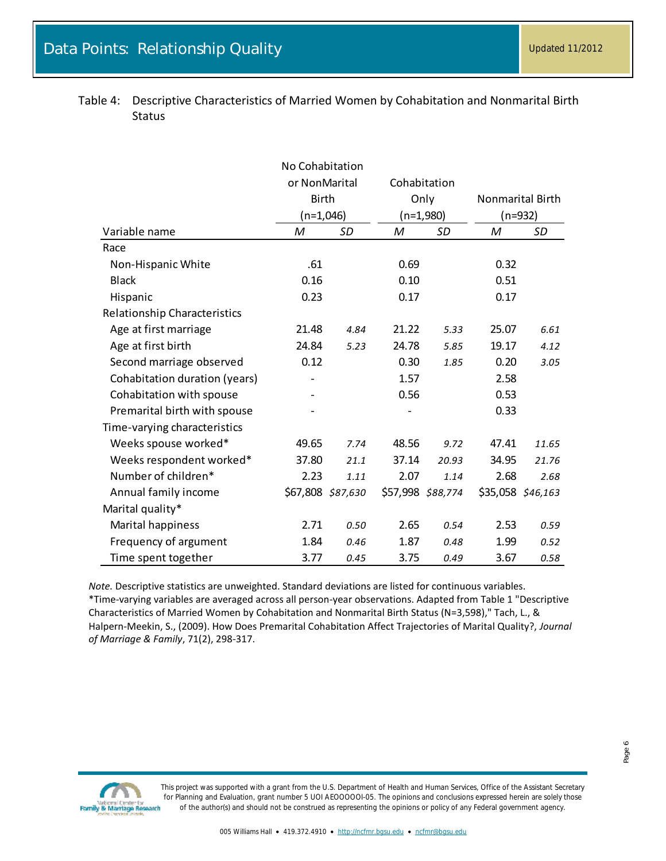|                                     | No Cohabitation   |      |                   |       |                   |       |  |
|-------------------------------------|-------------------|------|-------------------|-------|-------------------|-------|--|
|                                     | or NonMarital     |      | Cohabitation      |       |                   |       |  |
|                                     | <b>Birth</b>      |      | Only              |       | Nonmarital Birth  |       |  |
|                                     | (n=1,046)         |      | $(n=1,980)$       |       | (n=932)           |       |  |
| Variable name                       | M                 | SD   | M                 | SD    | M                 | SD    |  |
| Race                                |                   |      |                   |       |                   |       |  |
| Non-Hispanic White                  | .61               |      | 0.69              |       | 0.32              |       |  |
| <b>Black</b>                        | 0.16              |      | 0.10              |       | 0.51              |       |  |
| Hispanic                            | 0.23              |      | 0.17              |       | 0.17              |       |  |
| <b>Relationship Characteristics</b> |                   |      |                   |       |                   |       |  |
| Age at first marriage               | 21.48             | 4.84 | 21.22             | 5.33  | 25.07             | 6.61  |  |
| Age at first birth                  | 24.84             | 5.23 | 24.78             | 5.85  | 19.17             | 4.12  |  |
| Second marriage observed            | 0.12              |      | 0.30              | 1.85  | 0.20              | 3.05  |  |
| Cohabitation duration (years)       |                   |      | 1.57              |       | 2.58              |       |  |
| Cohabitation with spouse            |                   |      | 0.56              |       | 0.53              |       |  |
| Premarital birth with spouse        |                   |      |                   |       | 0.33              |       |  |
| Time-varying characteristics        |                   |      |                   |       |                   |       |  |
| Weeks spouse worked*                | 49.65             | 7.74 | 48.56             | 9.72  | 47.41             | 11.65 |  |
| Weeks respondent worked*            | 37.80             | 21.1 | 37.14             | 20.93 | 34.95             | 21.76 |  |
| Number of children*                 | 2.23              | 1.11 | 2.07              | 1.14  | 2.68              | 2.68  |  |
| Annual family income                | \$67,808 \$87,630 |      | \$57,998 \$88,774 |       | \$35,058 \$46,163 |       |  |
| Marital quality*                    |                   |      |                   |       |                   |       |  |
| Marital happiness                   | 2.71              | 0.50 | 2.65              | 0.54  | 2.53              | 0.59  |  |
| Frequency of argument               | 1.84              | 0.46 | 1.87              | 0.48  | 1.99              | 0.52  |  |
| Time spent together                 | 3.77              | 0.45 | 3.75              | 0.49  | 3.67              | 0.58  |  |

<span id="page-5-0"></span>Table 4: Descriptive Characteristics of Married Women by Cohabitation and Nonmarital Birth Status

*Note.* Descriptive statistics are unweighted. Standard deviations are listed for continuous variables. \*Time-varying variables are averaged across all person-year observations. Adapted from Table 1 "Descriptive Characteristics of Married Women by Cohabitation and Nonmarital Birth Status (N=3,598)," Tach, L., & Halpern-Meekin, S., (2009). How Does Premarital Cohabitation Affect Trajectories of Marital Quality?, *Journal of Marriage & Family*, 71(2), 298-317.

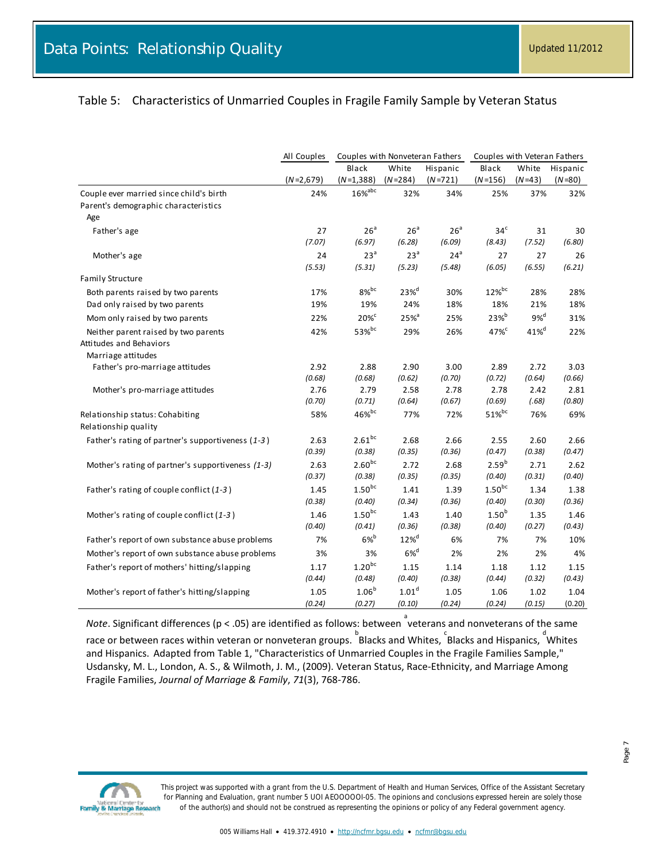#### <span id="page-6-0"></span>Table 5: Characteristics of Unmarried Couples in Fragile Family Sample by Veteran Status

|                                                   | All Couples    | Couples with Nonveteran Fathers |                     |                 | Couples with Veteran Fathers |                    |                |
|---------------------------------------------------|----------------|---------------------------------|---------------------|-----------------|------------------------------|--------------------|----------------|
|                                                   |                | Black                           | White               | Hispanic        | Black                        | White              | Hispanic       |
|                                                   | $(N=2,679)$    | $(N=1,388)$                     | $(N=284)$           | $(N=721)$       | $(N=156)$                    | $(N=43)$           | $(N=80)$       |
| Couple ever married since child's birth           | 24%            | $16\%$ <sup>abc</sup>           | 32%                 | 34%             | 25%                          | 37%                | 32%            |
| Parent's demographic characteristics              |                |                                 |                     |                 |                              |                    |                |
| Age                                               |                |                                 |                     |                 |                              |                    |                |
| Father's age                                      | 27             | 26 <sup>a</sup>                 | 26 <sup>a</sup>     | 26 <sup>a</sup> | 34 <sup>c</sup>              | 31                 | 30             |
|                                                   | (7.07)         | (6.97)                          | (6.28)              | (6.09)          | (8.43)                       | (7.52)             | (6.80)         |
| Mother's age                                      | 24             | 23 <sup>a</sup>                 | 23 <sup>a</sup>     | 24 <sup>a</sup> | 27                           | 27                 | 26             |
|                                                   | (5.53)         | (5.31)                          | (5.23)              | (5.48)          | (6.05)                       | (6.55)             | (6.21)         |
| <b>Family Structure</b>                           |                |                                 |                     |                 |                              |                    |                |
| Both parents raised by two parents                | 17%            | $8\%$ <sub>bc</sub>             | $23%$ <sup>d</sup>  | 30%             | $12\%$ <sup>bc</sup>         | 28%                | 28%            |
| Dad only raised by two parents                    | 19%            | 19%                             | 24%                 | 18%             | 18%                          | 21%                | 18%            |
| Mom only raised by two parents                    | 22%            | $20\%$ <sup>c</sup>             | $25%$ <sup>a</sup>  | 25%             | 23% <sup>b</sup>             | $9\%$ <sup>d</sup> | 31%            |
| Neither parent raised by two parents              | 42%            | 53%bc                           | 29%                 | 26%             | $47\%^c$                     | 41% <sup>d</sup>   | 22%            |
| Attitudes and Behaviors                           |                |                                 |                     |                 |                              |                    |                |
| Marriage attitudes                                |                |                                 |                     |                 |                              |                    |                |
| Father's pro-marriage attitudes                   | 2.92           | 2.88                            | 2.90                | 3.00            | 2.89                         | 2.72               | 3.03           |
|                                                   | (0.68)<br>2.76 | (0.68)<br>2.79                  | (0.62)<br>2.58      | (0.70)<br>2.78  | (0.72)<br>2.78               | (0.64)<br>2.42     | (0.66)<br>2.81 |
| Mother's pro-marriage attitudes                   | (0.70)         | (0.71)                          | (0.64)              | (0.67)          | (0.69)                       | (.68)              | (0.80)         |
| Relationship status: Cohabiting                   | 58%            | 46%bc                           | 77%                 | 72%             | $51\%$ <sup>bc</sup>         | 76%                | 69%            |
| Relationship quality                              |                |                                 |                     |                 |                              |                    |                |
| Father's rating of partner's supportiveness (1-3) | 2.63           | $2.61^{bc}$                     | 2.68                | 2.66            | 2.55                         | 2.60               | 2.66           |
|                                                   | (0.39)         | (0.38)                          | (0.35)              | (0.36)          | (0.47)                       | (0.38)             | (0.47)         |
| Mother's rating of partner's supportiveness (1-3) | 2.63           | $2.60^{bc}$                     | 2.72                | 2.68            | 2.59 <sup>b</sup>            | 2.71               | 2.62           |
|                                                   | (0.37)         | (0.38)                          | (0.35)              | (0.35)          | (0.40)                       | (0.31)             | (0.40)         |
| Father's rating of couple conflict (1-3)          | 1.45           | $1.50^{bc}$                     | 1.41                | 1.39            | $1.50^{bc}$                  | 1.34               | 1.38           |
|                                                   | (0.38)         | (0.40)                          | (0.34)              | (0.36)          | (0.40)                       | (0.30)             | (0.36)         |
| Mother's rating of couple conflict (1-3)          | 1.46           | $1.50^{bc}$                     | 1.43                | 1.40            | 1.50 <sup>b</sup>            | 1.35               | 1.46           |
|                                                   | (0.40)         | (0.41)                          | (0.36)              | (0.38)          | (0.40)                       | (0.27)             | (0.43)         |
| Father's report of own substance abuse problems   | 7%             | $6\%$ <sup>b</sup>              | $12\%$ <sup>d</sup> | 6%              | 7%                           | 7%                 | 10%            |
| Mother's report of own substance abuse problems   | 3%             | 3%                              | $6\%$ <sup>d</sup>  | 2%              | 2%                           | 2%                 | 4%             |
| Father's report of mothers' hitting/slapping      | 1.17           | $1.20^{bc}$                     | 1.15                | 1.14            | 1.18                         | 1.12               | 1.15           |
|                                                   | (0.44)         | (0.48)                          | (0.40)              | (0.38)          | (0.44)                       | (0.32)             | (0.43)         |
| Mother's report of father's hitting/slapping      | 1.05           | 1.06 <sup>b</sup>               | 1.01 <sup>d</sup>   | 1.05            | 1.06                         | 1.02               | 1.04           |
|                                                   | (0.24)         | (0.27)                          | (0.10)              | (0.24)          | (0.24)                       | (0.15)             | (0.20)         |

Note. Significant differences (p < .05) are identified as follows: between <sup>a</sup>veterans and nonveterans of the same race or between races within veteran or nonveteran groups. Blacks and Whites, EBlacks and Hispanics, d<br> and Hispanics. Adapted from Table 1, "Characteristics of Unmarried Couples in the Fragile Families Sample," Usdansky, M. L., London, A. S., & Wilmoth, J. M., (2009). Veteran Status, Race-Ethnicity, and Marriage Among Fragile Families, *Journal of Marriage & Family*, *71*(3), 768-786.

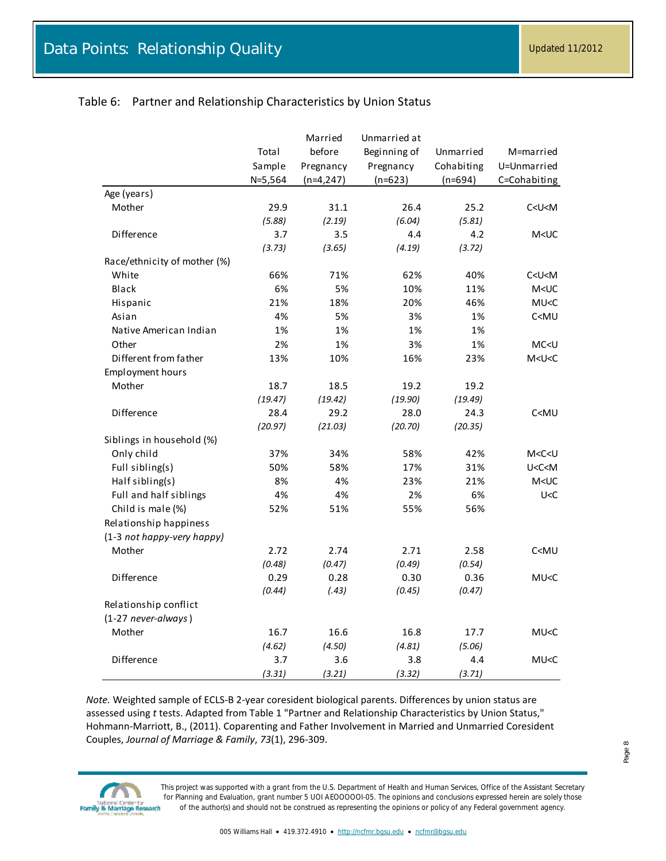### <span id="page-7-0"></span>Table 6: Partner and Relationship Characteristics by Union Status

|                              |           | Married     | Unmarried at |            |                     |
|------------------------------|-----------|-------------|--------------|------------|---------------------|
|                              | Total     | before      | Beginning of | Unmarried  | M=married           |
|                              | Sample    | Pregnancy   | Pregnancy    | Cohabiting | U=Unmarried         |
|                              | $N=5,564$ | $(n=4,247)$ | $(n=623)$    | $(n=694)$  | C=Cohabiting        |
| Age (years)                  |           |             |              |            |                     |
| Mother                       | 29.9      | 31.1        | 26.4         | 25.2       | C < U < M           |
|                              | (5.88)    | (2.19)      | (6.04)       | (5.81)     |                     |
| Difference                   | 3.7       | 3.5         | 4.4          | 4.2        | M <uc< td=""></uc<> |
|                              | (3.73)    | (3.65)      | (4.19)       | (3.72)     |                     |
| Race/ethnicity of mother (%) |           |             |              |            |                     |
| White                        | 66%       | 71%         | 62%          | 40%        | C < U < M           |
| Black                        | 6%        | 5%          | 10%          | 11%        | $M < U$ C           |
| Hispanic                     | 21%       | 18%         | 20%          | 46%        | MU < C              |
| Asian                        | 4%        | 5%          | 3%           | 1%         | C <mu< td=""></mu<> |
| Native American Indian       | 1%        | 1%          | 1%           | 1%         |                     |
| Other                        | 2%        | 1%          | 3%           | 1%         | MC <u< td=""></u<>  |
| Different from father        | 13%       | 10%         | 16%          | 23%        | M < U < C           |
| <b>Employment hours</b>      |           |             |              |            |                     |
| Mother                       | 18.7      | 18.5        | 19.2         | 19.2       |                     |
|                              | (19.47)   | (19.42)     | (19.90)      | (19.49)    |                     |
| Difference                   | 28.4      | 29.2        | 28.0         | 24.3       | C <mu< td=""></mu<> |
|                              | (20.97)   | (21.03)     | (20.70)      | (20.35)    |                     |
| Siblings in household (%)    |           |             |              |            |                     |
| Only child                   | 37%       | 34%         | 58%          | 42%        | M < C < U           |
| Full sibling(s)              | 50%       | 58%         | 17%          | 31%        | U < C < M           |
| Half sibling(s)              | 8%        | 4%          | 23%          | 21%        | $M < U$ C           |
| Full and half siblings       | 4%        | 4%          | 2%           | 6%         | U < C               |
| Child is male (%)            | 52%       | 51%         | 55%          | 56%        |                     |
| Relationship happiness       |           |             |              |            |                     |
| (1-3 not happy-very happy)   |           |             |              |            |                     |
| Mother                       | 2.72      | 2.74        | 2.71         | 2.58       | C <mu< td=""></mu<> |
|                              | (0.48)    | (0.47)      | (0.49)       | (0.54)     |                     |
| Difference                   | 0.29      | 0.28        | 0.30         | 0.36       | MU <c< td=""></c<>  |
|                              | (0.44)    | (.43)       | (0.45)       | (0.47)     |                     |
| Relationship conflict        |           |             |              |            |                     |
| (1-27 never-always)          |           |             |              |            |                     |
| Mother                       | 16.7      | 16.6        | 16.8         | 17.7       | MU <c< td=""></c<>  |
|                              | (4.62)    | (4.50)      | (4.81)       | (5.06)     |                     |
| Difference                   | 3.7       | 3.6         | 3.8          | 4.4        | MU < C              |
|                              | (3.31)    | (3.21)      | (3.32)       | (3.71)     |                     |

*Note.* Weighted sample of ECLS-B 2-year coresident biological parents. Differences by union status are assessed using *t* tests. Adapted from Table 1 "Partner and Relationship Characteristics by Union Status," Hohmann-Marriott, B., (2011). Coparenting and Father Involvement in Married and Unmarried Coresident Couples, *Journal of Marriage & Family*, *73*(1), 296-309.

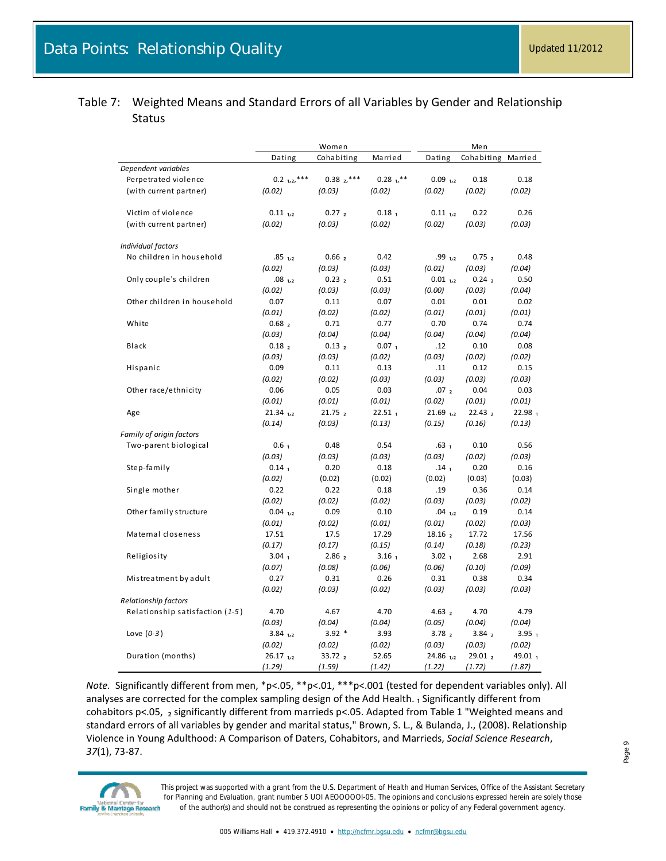<span id="page-8-0"></span>

| Table 7: Weighted Means and Standard Errors of all Variables by Gender and Relationship |
|-----------------------------------------------------------------------------------------|
| <b>Status</b>                                                                           |

|                                 | Women                  |                    |                    | Men                    |                    |                    |  |
|---------------------------------|------------------------|--------------------|--------------------|------------------------|--------------------|--------------------|--|
|                                 | Dating                 | Cohabiting         | Married            | Dating                 | Cohabiting         | Married            |  |
| Dependent variables             |                        |                    |                    |                        |                    |                    |  |
| Perpetrated violence            | $0.2$ $1,2,***$        | $0.38z^{***}$      | $0.28$ $1.***$     | $0.09$ <sub>1,2</sub>  | 0.18               | 0.18               |  |
| (with current partner)          | (0.02)                 | (0.03)             | (0.02)             | (0.02)                 | (0.02)             | (0.02)             |  |
|                                 |                        |                    |                    |                        |                    |                    |  |
| Victim of violence              | $0.11_{1.2}$           | 0.27 <sub>2</sub>  | 0.18 <sub>1</sub>  | $0.11_{1.2}$           | 0.22               | 0.26               |  |
| (with current partner)          | (0.02)                 | (0.03)             | (0.02)             | (0.02)                 | (0.03)             | (0.03)             |  |
| Individual factors              |                        |                    |                    |                        |                    |                    |  |
| No children in household        | $.85$ <sub>1,2</sub>   | 0.66 <sub>2</sub>  | 0.42               | .99 <sub>1,2</sub>     | 0.75 <sub>2</sub>  | 0.48               |  |
|                                 | (0.02)                 | (0.03)             | (0.03)             | (0.01)                 | (0.03)             | (0.04)             |  |
| Only couple's children          | $.08$ <sub>1,2</sub>   | 0.23 <sub>2</sub>  | 0.51               | $0.01_{1,2}$           | 0.24 <sub>2</sub>  | 0.50               |  |
|                                 | (0.02)                 | (0.03)             | (0.03)             | (0.00)                 | (0.03)             | (0.04)             |  |
| Other children in household     | 0.07                   | 0.11               | 0.07               | 0.01                   | 0.01               | 0.02               |  |
|                                 | (0.01)                 | (0.02)             | (0.02)             | (0.01)                 | (0.01)             | (0.01)             |  |
| White                           | 0.68 <sub>2</sub>      | 0.71               | 0.77               | 0.70                   | 0.74               | 0.74               |  |
|                                 | (0.03)                 | (0.04)             | (0.04)             | (0.04)                 | (0.04)             | (0.04)             |  |
| <b>Black</b>                    |                        | 0.13 <sub>2</sub>  | 0.07 <sub>1</sub>  |                        | 0.10               | 0.08               |  |
|                                 | 0.18 <sub>2</sub>      |                    |                    | .12                    |                    |                    |  |
|                                 | (0.03)                 | (0.03)             | (0.02)             | (0.03)                 | (0.02)             | (0.02)             |  |
| Hispanic                        | 0.09                   | 0.11               | 0.13               | .11                    | 0.12               | 0.15               |  |
|                                 | (0.02)                 | (0.02)             | (0.03)             | (0.03)                 | (0.03)             | (0.03)             |  |
| Other race/ethnicity            | 0.06                   | 0.05               | 0.03               | .07 <sub>2</sub>       | 0.04               | 0.03               |  |
|                                 | (0.01)                 | (0.01)             | (0.01)             | (0.02)                 | (0.01)             | (0.01)             |  |
| Age                             | $21.34$ <sub>1,2</sub> | 21.75 2            | 22.51 <sub>1</sub> | $21.69$ <sub>1,2</sub> | 22.43 <sub>2</sub> | 22.98 <sub>1</sub> |  |
|                                 | (0.14)                 | (0.03)             | (0.13)             | (0.15)                 | (0.16)             | (0.13)             |  |
| Family of origin factors        |                        |                    |                    |                        |                    |                    |  |
| Two-parent biological           | 0.6 <sub>1</sub>       | 0.48               | 0.54               | .63 <sub>1</sub>       | 0.10               | 0.56               |  |
|                                 | (0.03)                 | (0.03)             | (0.03)             | (0.03)                 | (0.02)             | (0.03)             |  |
| Step-family                     | $0.14_1$               | 0.20               | 0.18               | .14 <sub>1</sub>       | 0.20               | 0.16               |  |
|                                 | (0.02)                 | (0.02)             | (0.02)             | (0.02)                 | (0.03)             | (0.03)             |  |
| Single mother                   | 0.22                   | 0.22               | 0.18               | .19                    | 0.36               | 0.14               |  |
|                                 | (0.02)                 | (0.02)             | (0.02)             | (0.03)                 | (0.03)             | (0.02)             |  |
| Other family structure          | $0.04$ 1,2             | 0.09               | 0.10               | $.04$ $_{1,2}$         | 0.19               | 0.14               |  |
|                                 | (0.01)                 | (0.02)             | (0.01)             | (0.01)                 | (0.02)             | (0.03)             |  |
| Maternal closeness              | 17.51                  | 17.5               | 17.29              | 18.16 <sub>2</sub>     | 17.72              | 17.56              |  |
|                                 | (0.17)                 | (0.17)             | (0.15)             | (0.14)                 | (0.18)             | (0.23)             |  |
| Religiosity                     | 3.04 <sub>1</sub>      | 2.86 <sub>2</sub>  | 3.16 <sub>1</sub>  | 3.02 <sub>1</sub>      | 2.68               | 2.91               |  |
|                                 | (0.07)                 | (0.08)             | (0.06)             | (0.06)                 | (0.10)             | (0.09)             |  |
| Mistreatment by adult           | 0.27                   | 0.31               | 0.26               | 0.31                   | 0.38               | 0.34               |  |
|                                 | (0.02)                 | (0.03)             | (0.02)             | (0.03)                 | (0.03)             | (0.03)             |  |
| <b>Relationship factors</b>     |                        |                    |                    |                        |                    |                    |  |
| Relationship satisfaction (1-5) | 4.70                   | 4.67               | 4.70               | 4.63 <sub>2</sub>      | 4.70               | 4.79               |  |
|                                 | (0.03)                 | (0.04)             |                    | (0.05)                 | (0.04)             | (0.04)             |  |
|                                 |                        | $3.92*$            | (0.04)             |                        |                    |                    |  |
| Love $(0-3)$                    | $3.84$ 1,2             |                    | 3.93               | 3.78 <sub>2</sub>      | 3.84 <sub>2</sub>  | 3.95 <sub>1</sub>  |  |
|                                 | (0.02)                 | (0.02)             | (0.02)             | (0.03)                 | (0.03)             | (0.02)             |  |
| Duration (months)               | $26.17$ <sub>1,2</sub> | 33.72 <sub>2</sub> | 52.65              | $24.86$ <sub>1,2</sub> | 29.01 <sub>2</sub> | 49.01 $_1$         |  |
|                                 | (1.29)                 | (1.59)             | (1.42)             | (1.22)                 | (1.72)             | (1.87)             |  |

*Note.* Significantly different from men, \*p<.05, \*\*p<.01, \*\*\*p<.001 (tested for dependent variables only). All analyses are corrected for the complex sampling design of the Add Health. 1 Significantly different from cohabitors p<.05, 2 significantly different from marrieds p<.05. Adapted from Table 1 "Weighted means and standard errors of all variables by gender and marital status," Brown, S. L., & Bulanda, J., (2008). Relationship Violence in Young Adulthood: A Comparison of Daters, Cohabitors, and Marrieds, *Social Science Research*, *37*(1), 73-87.



*This project was supported with a grant from the U.S. Department of Health and Human Services, Office of the Assistant Secretary for Planning and Evaluation, grant number 5 UOI AEOOOOOI-05. The opinions and conclusions expressed herein are solely those of the author(s) and should not be construed as representing the opinions or policy of any Federal government agency.*

Page 9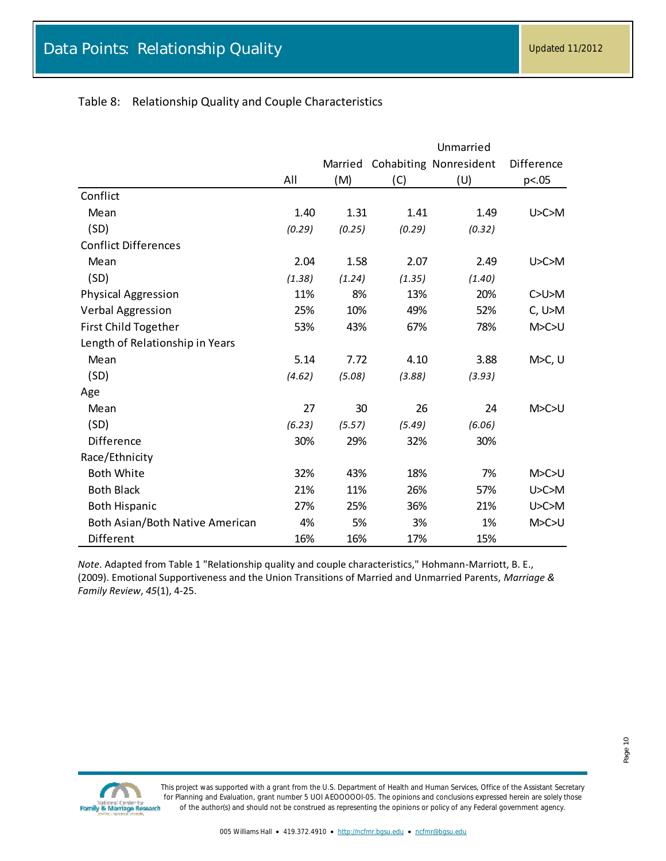### <span id="page-9-0"></span>Table 8: Relationship Quality and Couple Characteristics

|                                 | Unmarried |         |        |                        |             |  |
|---------------------------------|-----------|---------|--------|------------------------|-------------|--|
|                                 |           | Married |        | Cohabiting Nonresident | Difference  |  |
|                                 | All       | (M)     | (C)    | (U)                    | p<.05       |  |
| Conflict                        |           |         |        |                        |             |  |
| Mean                            | 1.40      | 1.31    | 1.41   | 1.49                   | U > C > M   |  |
| (SD)                            | (0.29)    | (0.25)  | (0.29) | (0.32)                 |             |  |
| <b>Conflict Differences</b>     |           |         |        |                        |             |  |
| Mean                            | 2.04      | 1.58    | 2.07   | 2.49                   | U > C > M   |  |
| (SD)                            | (1.38)    | (1.24)  | (1.35) | (1.40)                 |             |  |
| Physical Aggression             | 11%       | 8%      | 13%    | 20%                    | C>U>M       |  |
| <b>Verbal Aggression</b>        | 25%       | 10%     | 49%    | 52%                    | C, U>M      |  |
| First Child Together            | 53%       | 43%     | 67%    | 78%                    | M > C > U   |  |
| Length of Relationship in Years |           |         |        |                        |             |  |
| Mean                            | 5.14      | 7.72    | 4.10   | 3.88                   | $M > C$ , U |  |
| (SD)                            | (4.62)    | (5.08)  | (3.88) | (3.93)                 |             |  |
| Age                             |           |         |        |                        |             |  |
| Mean                            | 27        | 30      | 26     | 24                     | M > C > U   |  |
| (SD)                            | (6.23)    | (5.57)  | (5.49) | (6.06)                 |             |  |
| Difference                      | 30%       | 29%     | 32%    | 30%                    |             |  |
| Race/Ethnicity                  |           |         |        |                        |             |  |
| <b>Both White</b>               | 32%       | 43%     | 18%    | 7%                     | M > C > U   |  |
| <b>Both Black</b>               | 21%       | 11%     | 26%    | 57%                    | U > C > M   |  |
| <b>Both Hispanic</b>            | 27%       | 25%     | 36%    | 21%                    | U > C > M   |  |
| Both Asian/Both Native American | 4%        | 5%      | 3%     | 1%                     | M > C > U   |  |
| Different                       | 16%       | 16%     | 17%    | 15%                    |             |  |

*Note*. Adapted from Table 1 "Relationship quality and couple characteristics," Hohmann-Marriott, B. E., (2009). Emotional Supportiveness and the Union Transitions of Married and Unmarried Parents, *Marriage & Family Review*, *45*(1), 4-25.

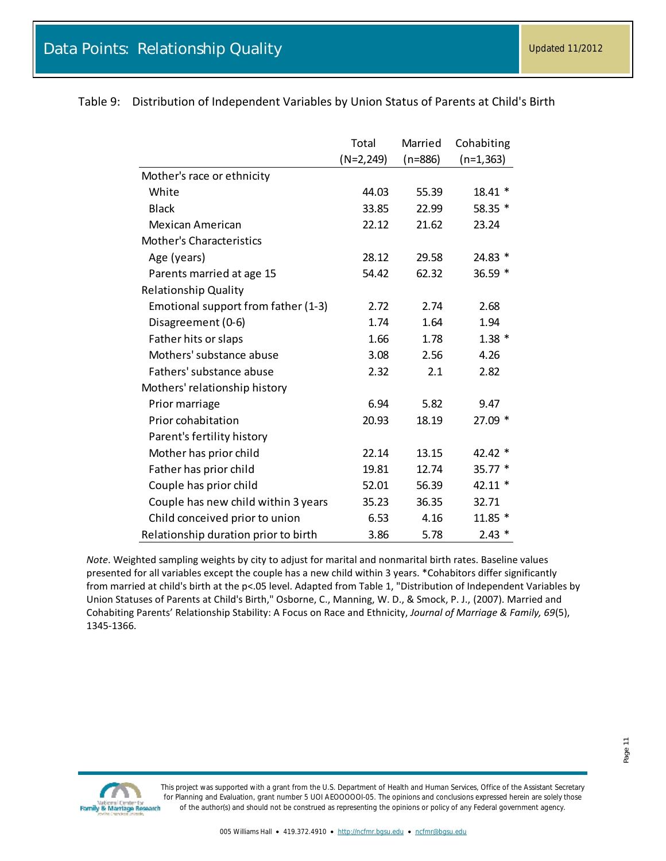|                                      | Total        | Married   | Cohabiting   |
|--------------------------------------|--------------|-----------|--------------|
|                                      | $(N=2, 249)$ | $(n=886)$ | $(n=1, 363)$ |
| Mother's race or ethnicity           |              |           |              |
| White                                | 44.03        | 55.39     | $18.41*$     |
| <b>Black</b>                         | 33.85        | 22.99     | 58.35 *      |
| Mexican American                     | 22.12        | 21.62     | 23.24        |
| <b>Mother's Characteristics</b>      |              |           |              |
| Age (years)                          | 28.12        | 29.58     | 24.83 *      |
| Parents married at age 15            | 54.42        | 62.32     | 36.59 *      |
| <b>Relationship Quality</b>          |              |           |              |
| Emotional support from father (1-3)  | 2.72         | 2.74      | 2.68         |
| Disagreement (0-6)                   | 1.74         | 1.64      | 1.94         |
| Father hits or slaps                 | 1.66         | 1.78      | $1.38*$      |
| Mothers' substance abuse             | 3.08         | 2.56      | 4.26         |
| Fathers' substance abuse             | 2.32         | 2.1       | 2.82         |
| Mothers' relationship history        |              |           |              |
| Prior marriage                       | 6.94         | 5.82      | 9.47         |
| Prior cohabitation                   | 20.93        | 18.19     | $27.09*$     |
| Parent's fertility history           |              |           |              |
| Mother has prior child               | 22.14        | 13.15     | 42.42 *      |
| Father has prior child               | 19.81        | 12.74     | $35.77*$     |
| Couple has prior child               | 52.01        | 56.39     | 42.11 *      |
| Couple has new child within 3 years  | 35.23        | 36.35     | 32.71        |
| Child conceived prior to union       | 6.53         | 4.16      | $11.85*$     |
| Relationship duration prior to birth | 3.86         | 5.78      | $2.43*$      |

<span id="page-10-0"></span>Table 9: Distribution of Independent Variables by Union Status of Parents at Child's Birth

*Note*. Weighted sampling weights by city to adjust for marital and nonmarital birth rates. Baseline values presented for all variables except the couple has a new child within 3 years. \*Cohabitors differ significantly from married at child's birth at the p<.05 level. Adapted from Table 1, "Distribution of Independent Variables by Union Statuses of Parents at Child's Birth," Osborne, C., Manning, W. D., & Smock, P. J., (2007). Married and Cohabiting Parents' Relationship Stability: A Focus on Race and Ethnicity, *Journal of Marriage & Family, 69*(5), 1345-1366.

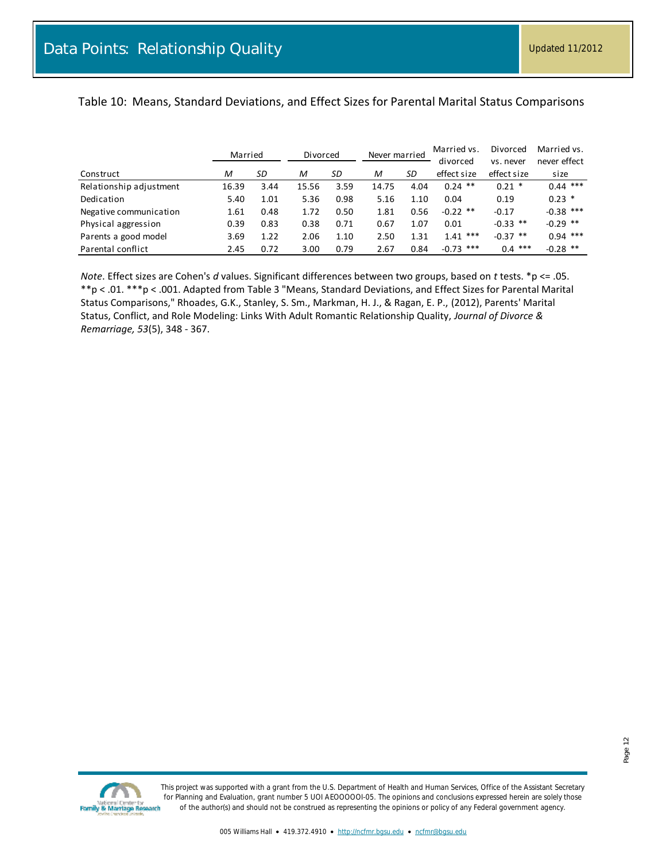### <span id="page-11-0"></span>Table 10: Means, Standard Deviations, and Effect Sizes for Parental Marital Status Comparisons

|                         | Married |      | Divorced |      | Never married |      | Married vs. | Divorced    | Married vs.  |
|-------------------------|---------|------|----------|------|---------------|------|-------------|-------------|--------------|
|                         |         |      |          |      |               |      | divorced    | vs. never   | never effect |
| Construct               | М       | SD   | M        | SD   | M             | SD   | effect size | effect size | size         |
| Relationship adjustment | 16.39   | 3.44 | 15.56    | 3.59 | 14.75         | 4.04 | $0.24$ **   | $0.21$ *    | $0.44$ ***   |
| Dedication              | 5.40    | 1.01 | 5.36     | 0.98 | 5.16          | 1.10 | 0.04        | 0.19        | $0.23$ *     |
| Negative communication  | 1.61    | 0.48 | 1.72     | 0.50 | 1.81          | 0.56 | $-0.22$ **  | $-0.17$     | $-0.38$ ***  |
| Physical aggression     | 0.39    | 0.83 | 0.38     | 0.71 | 0.67          | 1.07 | 0.01        | $-0.33$ **  | $-0.29$ **   |
| Parents a good model    | 3.69    | 1.22 | 2.06     | 1.10 | 2.50          | 1.31 | $1.41***$   | $-0.37$ **  | $0.94$ ***   |
| Parental conflict       | 2.45    | 0.72 | 3.00     | 0.79 | 2.67          | 0.84 | $-0.73$ *** | $0.4$ ***   | $-0.28$ **   |

*Note*. Effect sizes are Cohen's *d* values. Significant differences between two groups, based on *t* tests. \*p <= .05. \*\*p < .01. \*\*\*p < .001. Adapted from Table 3 "Means, Standard Deviations, and Effect Sizes for Parental Marital Status Comparisons," Rhoades, G.K., Stanley, S. Sm., Markman, H. J., & Ragan, E. P., (2012), Parents' Marital Status, Conflict, and Role Modeling: Links With Adult Romantic Relationship Quality, *Journal of Divorce & Remarriage, 53*(5), 348 - 367.

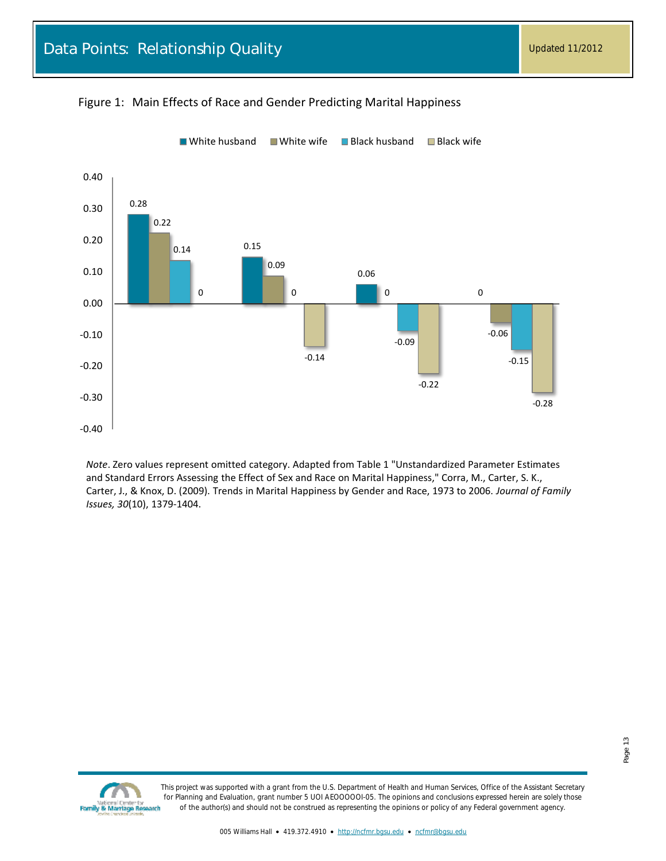

#### <span id="page-12-0"></span>Figure 1: Main Effects of Race and Gender Predicting Marital Happiness

*Note*. Zero values represent omitted category. Adapted from Table 1 "Unstandardized Parameter Estimates and Standard Errors Assessing the Effect of Sex and Race on Marital Happiness," Corra, M., Carter, S. K., Carter, J., & Knox, D. (2009). Trends in Marital Happiness by Gender and Race, 1973 to 2006. *Journal of Family Issues, 30*(10), 1379-1404.

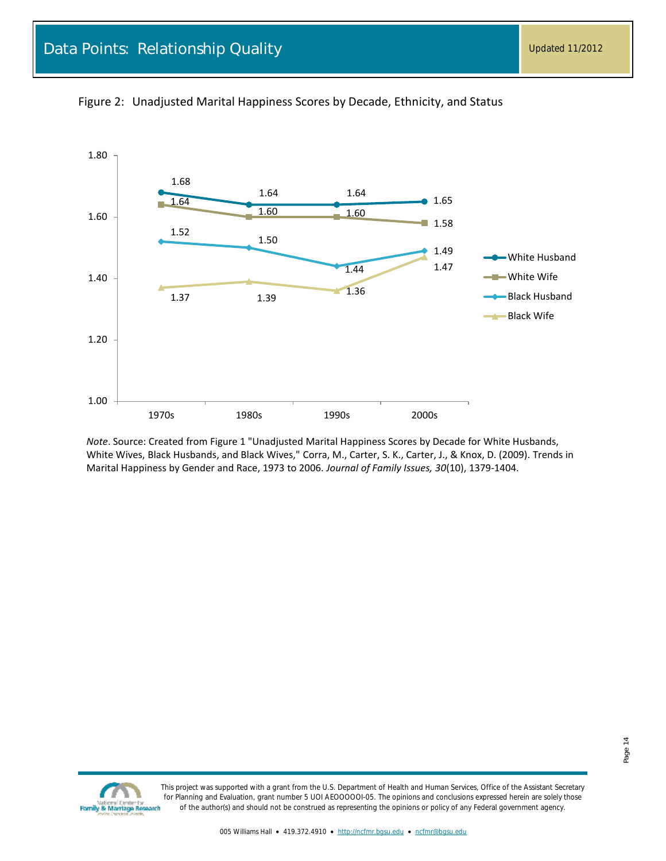

<span id="page-13-0"></span>

*Note*. Source: Created from Figure 1 "Unadjusted Marital Happiness Scores by Decade for White Husbands, White Wives, Black Husbands, and Black Wives," Corra, M., Carter, S. K., Carter, J., & Knox, D. (2009). Trends in Marital Happiness by Gender and Race, 1973 to 2006. *Journal of Family Issues, 30*(10), 1379-1404.

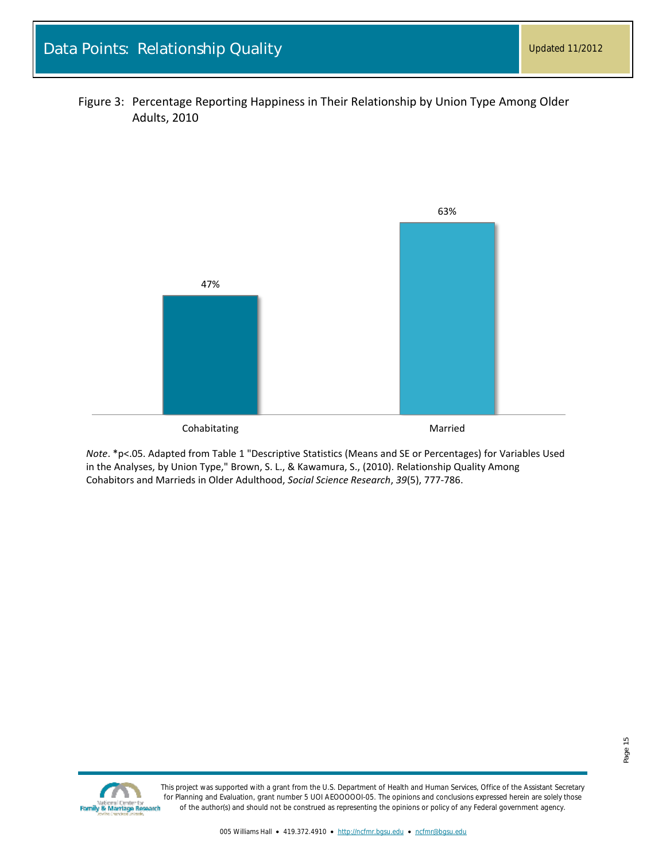<span id="page-14-0"></span>



*Note*. \*p<.05. Adapted from Table 1 "Descriptive Statistics (Means and SE or Percentages) for Variables Used in the Analyses, by Union Type," Brown, S. L., & Kawamura, S., (2010). Relationship Quality Among Cohabitors and Marrieds in Older Adulthood, *Social Science Research*, *39*(5), 777-786.

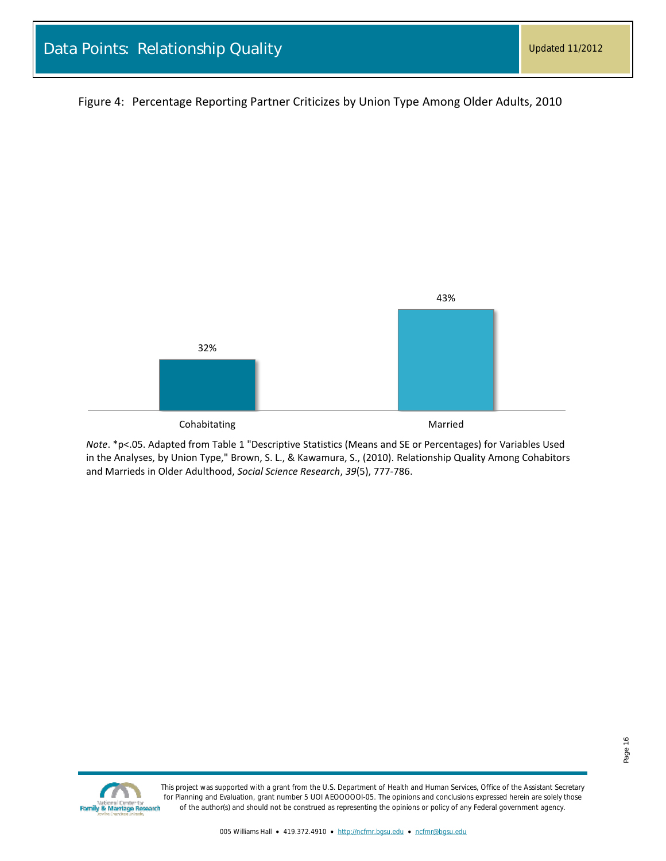<span id="page-15-0"></span>Figure 4: Percentage Reporting Partner Criticizes by Union Type Among Older Adults, 2010



*Note*. \*p<.05. Adapted from Table 1 "Descriptive Statistics (Means and SE or Percentages) for Variables Used in the Analyses, by Union Type," Brown, S. L., & Kawamura, S., (2010). Relationship Quality Among Cohabitors and Marrieds in Older Adulthood, *Social Science Research*, *39*(5), 777-786.

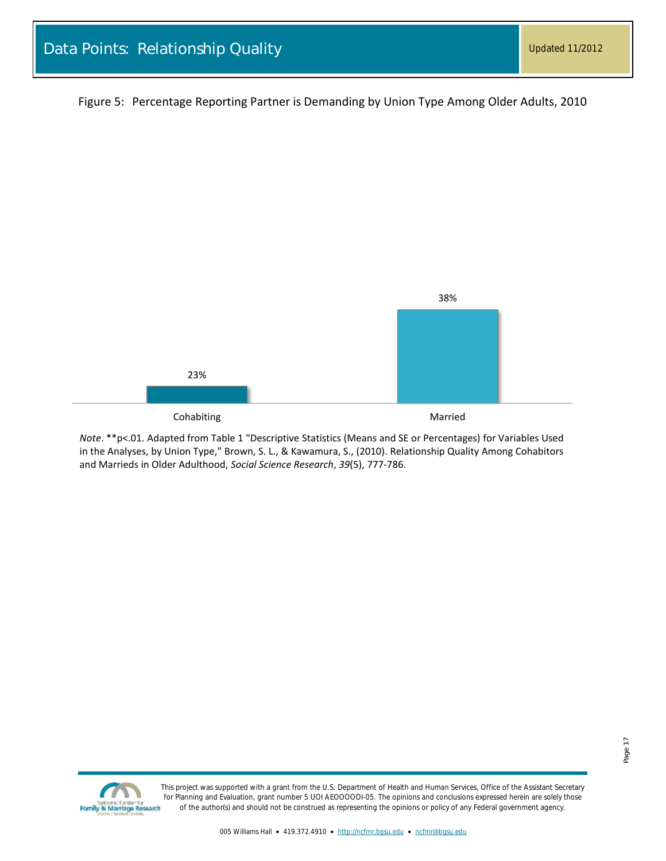<span id="page-16-0"></span>Figure 5: Percentage Reporting Partner is Demanding by Union Type Among Older Adults, 2010



*Note*. \*\*p<.01. Adapted from Table 1 "Descriptive Statistics (Means and SE or Percentages) for Variables Used in the Analyses, by Union Type," Brown, S. L., & Kawamura, S., (2010). Relationship Quality Among Cohabitors and Marrieds in Older Adulthood, *Social Science Research*, *39*(5), 777-786.

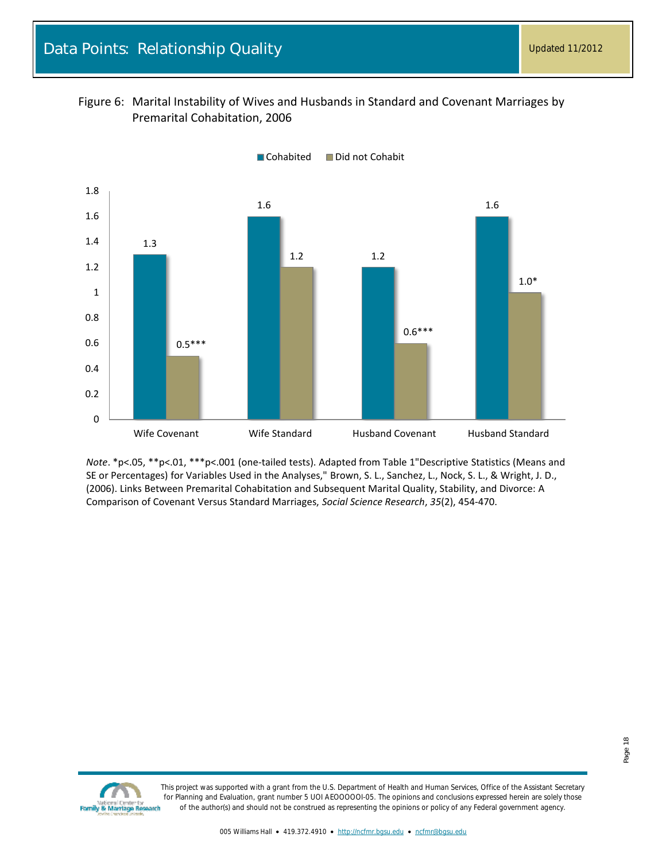<span id="page-17-0"></span>



*Note*. \*p<.05, \*\*p<.01, \*\*\*p<.001 (one-tailed tests). Adapted from Table 1"Descriptive Statistics (Means and SE or Percentages) for Variables Used in the Analyses," Brown, S. L., Sanchez, L., Nock, S. L., & Wright, J. D., (2006). Links Between Premarital Cohabitation and Subsequent Marital Quality, Stability, and Divorce: A Comparison of Covenant Versus Standard Marriages, *Social Science Research*, *35*(2), 454-470.

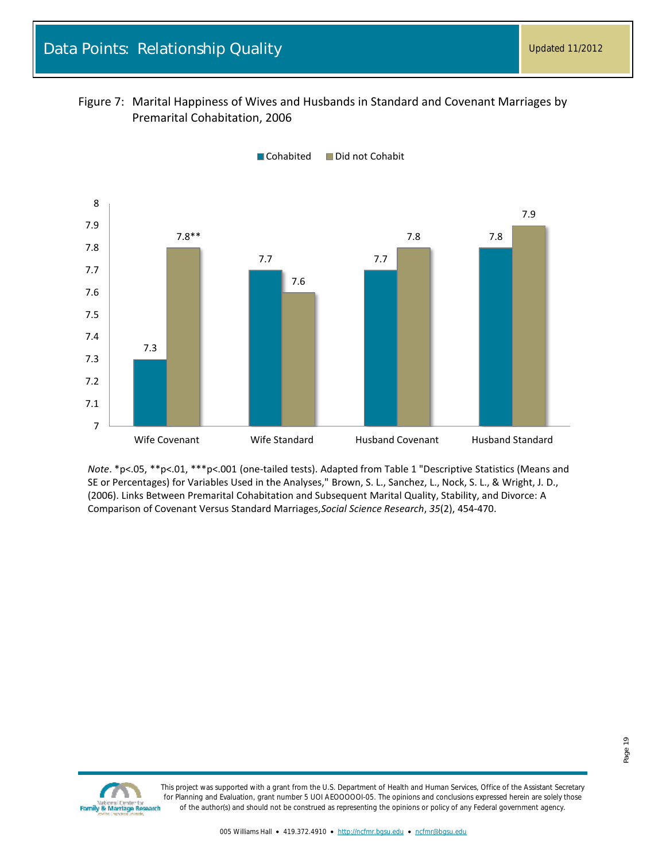<span id="page-18-0"></span>



*Note*. \*p<.05, \*\*p<.01, \*\*\*p<.001 (one-tailed tests). Adapted from Table 1 "Descriptive Statistics (Means and SE or Percentages) for Variables Used in the Analyses," Brown, S. L., Sanchez, L., Nock, S. L., & Wright, J. D., (2006). Links Between Premarital Cohabitation and Subsequent Marital Quality, Stability, and Divorce: A Comparison of Covenant Versus Standard Marriages,*Social Science Research*, *35*(2), 454-470.

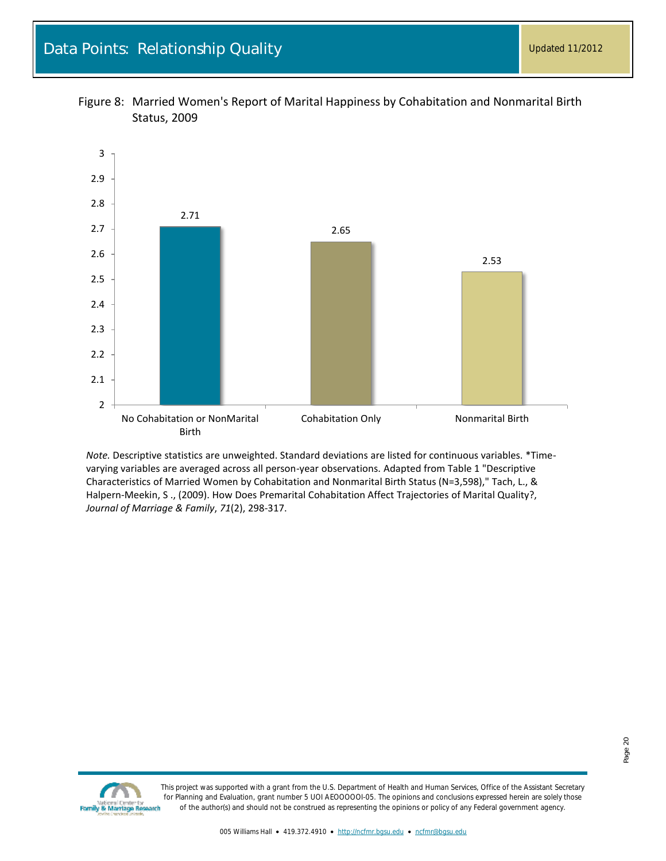

<span id="page-19-0"></span>

*Note.* Descriptive statistics are unweighted. Standard deviations are listed for continuous variables. \*Timevarying variables are averaged across all person-year observations. Adapted from Table 1 "Descriptive Characteristics of Married Women by Cohabitation and Nonmarital Birth Status (N=3,598)," Tach, L., & Halpern-Meekin, S ., (2009). How Does Premarital Cohabitation Affect Trajectories of Marital Quality?, *Journal of Marriage & Family*, *71*(2), 298-317.

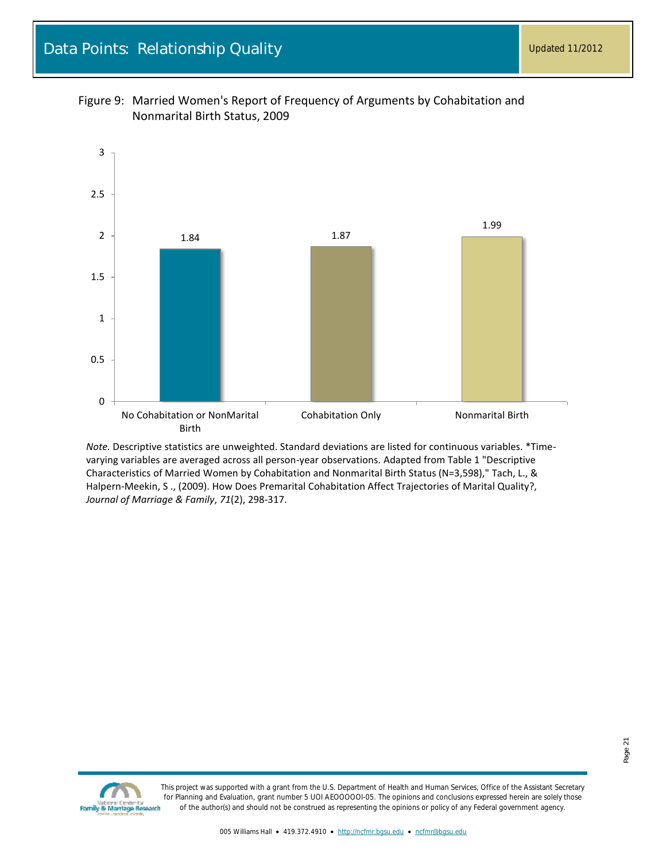

<span id="page-20-0"></span>

*Note.* Descriptive statistics are unweighted. Standard deviations are listed for continuous variables. \*Timevarying variables are averaged across all person-year observations. Adapted from Table 1 "Descriptive Characteristics of Married Women by Cohabitation and Nonmarital Birth Status (N=3,598)," Tach, L., & Halpern-Meekin, S ., (2009). How Does Premarital Cohabitation Affect Trajectories of Marital Quality?, *Journal of Marriage & Family*, *71*(2), 298-317.

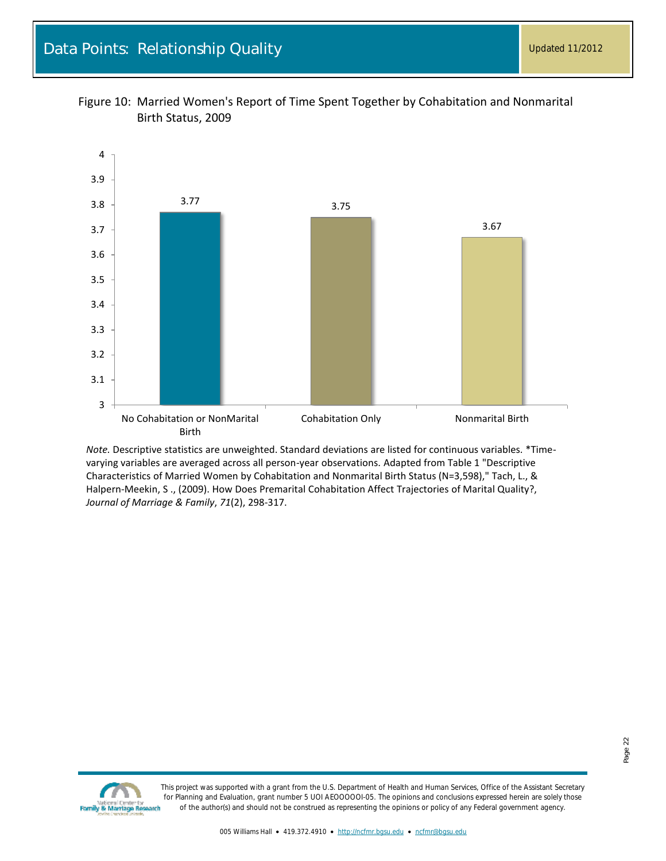

<span id="page-21-0"></span>

*Note.* Descriptive statistics are unweighted. Standard deviations are listed for continuous variables. \*Timevarying variables are averaged across all person-year observations. Adapted from Table 1 "Descriptive Characteristics of Married Women by Cohabitation and Nonmarital Birth Status (N=3,598)," Tach, L., & Halpern-Meekin, S ., (2009). How Does Premarital Cohabitation Affect Trajectories of Marital Quality?, *Journal of Marriage & Family*, *71*(2), 298-317.

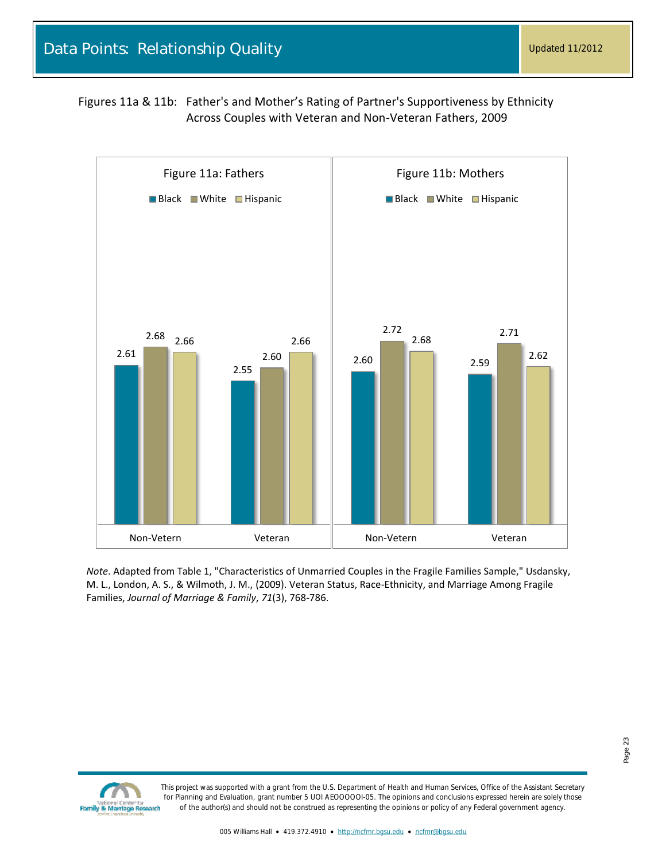<span id="page-22-0"></span>Figures 11a & 11b: Father's and Mother's Rating of Partner's Supportiveness by Ethnicity Across Couples with Veteran and Non-Veteran Fathers, 2009



*Note*. Adapted from Table 1, "Characteristics of Unmarried Couples in the Fragile Families Sample," Usdansky, M. L., London, A. S., & Wilmoth, J. M., (2009). Veteran Status, Race-Ethnicity, and Marriage Among Fragile Families, *Journal of Marriage & Family*, *71*(3), 768-786.

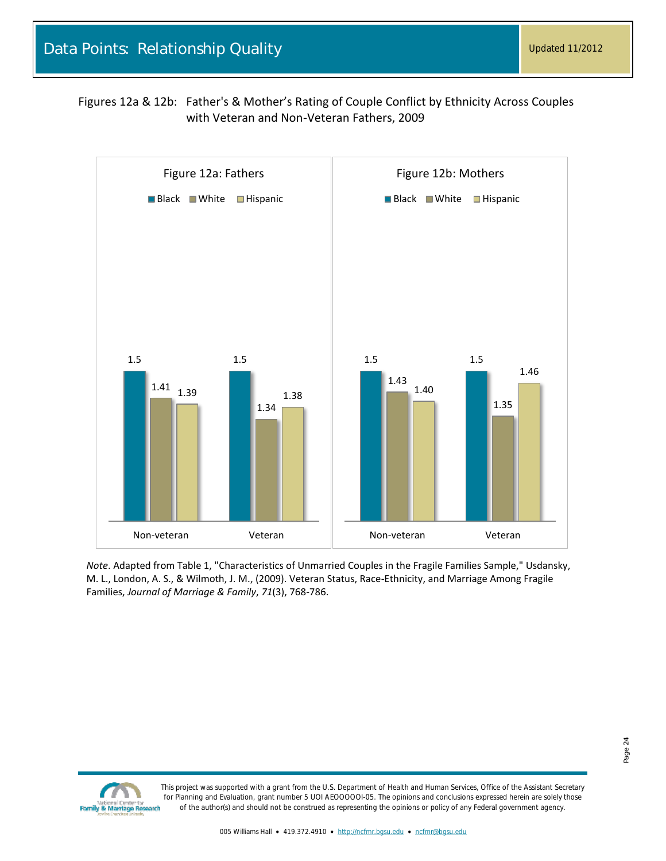<span id="page-23-0"></span>Figures 12a & 12b: Father's & Mother's Rating of Couple Conflict by Ethnicity Across Couples with Veteran and Non-Veteran Fathers, 2009



*Note*. Adapted from Table 1, "Characteristics of Unmarried Couples in the Fragile Families Sample," Usdansky, M. L., London, A. S., & Wilmoth, J. M., (2009). Veteran Status, Race-Ethnicity, and Marriage Among Fragile Families, *Journal of Marriage & Family*, *71*(3), 768-786.

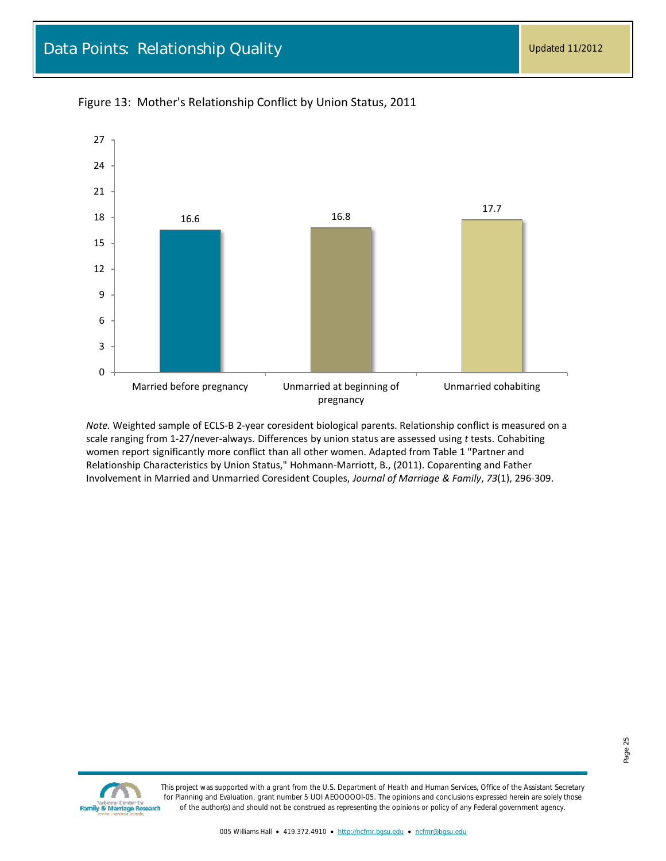

<span id="page-24-0"></span>Figure 13: Mother's Relationship Conflict by Union Status, 2011

*Note.* Weighted sample of ECLS-B 2-year coresident biological parents. Relationship conflict is measured on a scale ranging from 1-27/never-always. Differences by union status are assessed using *t* tests. Cohabiting women report significantly more conflict than all other women. Adapted from Table 1 "Partner and Relationship Characteristics by Union Status," Hohmann-Marriott, B., (2011). Coparenting and Father Involvement in Married and Unmarried Coresident Couples, *Journal of Marriage & Family*, *73*(1), 296-309.

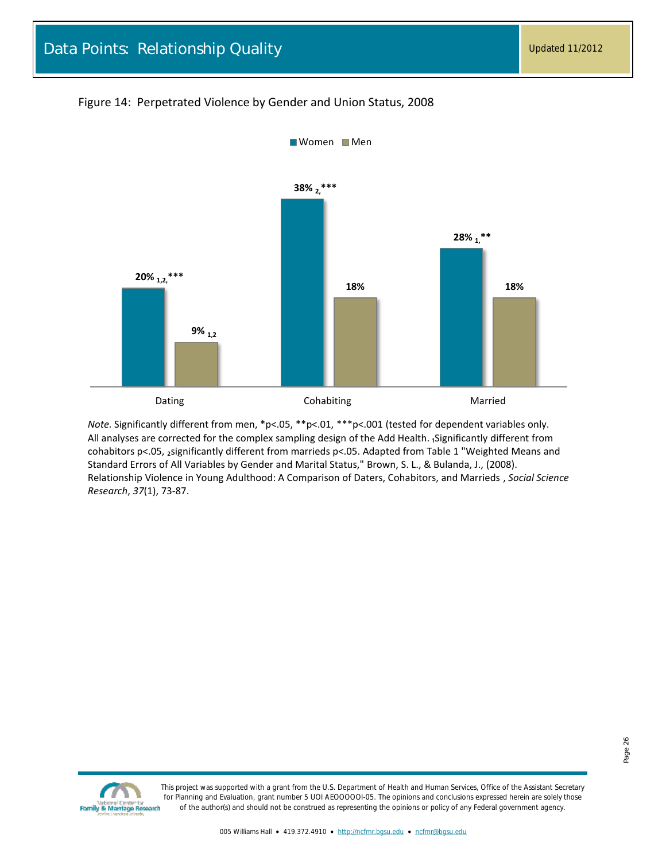#### <span id="page-25-0"></span>Figure 14: Perpetrated Violence by Gender and Union Status, 2008



*Note.* Significantly different from men, \*p<.05, \*\*p<.01, \*\*\*p<.001 (tested for dependent variables only. All analyses are corrected for the complex sampling design of the Add Health. <sub>i</sub> Significantly different from cohabitors p<.05, 2significantly different from marrieds p<.05. Adapted from Table 1 "Weighted Means and Standard Errors of All Variables by Gender and Marital Status," Brown, S. L., & Bulanda, J., (2008). Relationship Violence in Young Adulthood: A Comparison of Daters, Cohabitors, and Marrieds , *Social Science Research*, *37*(1), 73-87.

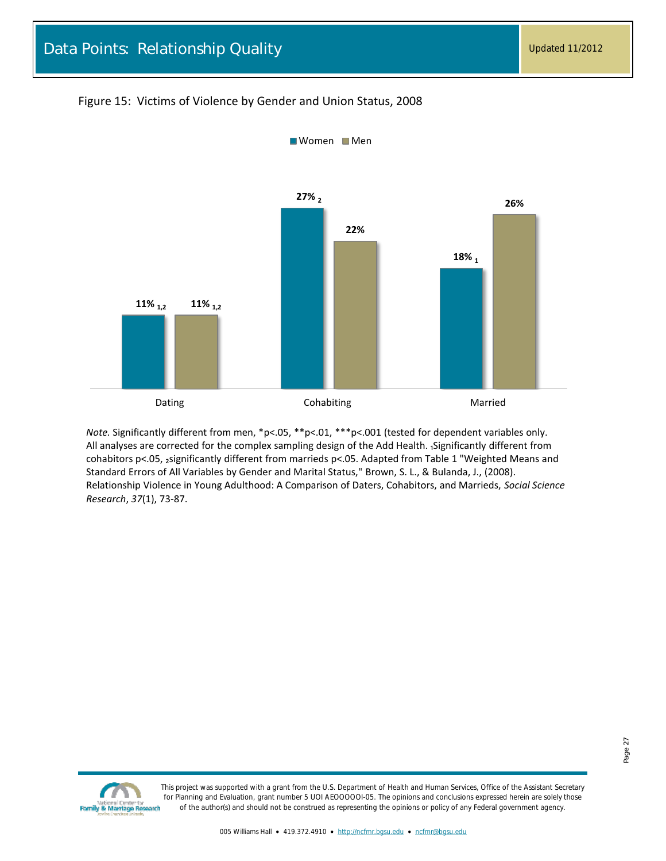### <span id="page-26-0"></span>Figure 15: Victims of Violence by Gender and Union Status, 2008



*Note.* Significantly different from men, \*p<.05, \*\*p<.01, \*\*\*p<.001 (tested for dependent variables only. All analyses are corrected for the complex sampling design of the Add Health. <sub>1</sub>Significantly different from cohabitors p<.05, 2significantly different from marrieds p<.05. Adapted from Table 1 "Weighted Means and Standard Errors of All Variables by Gender and Marital Status," Brown, S. L., & Bulanda, J., (2008). Relationship Violence in Young Adulthood: A Comparison of Daters, Cohabitors, and Marrieds, *Social Science Research*, *37*(1), 73-87.

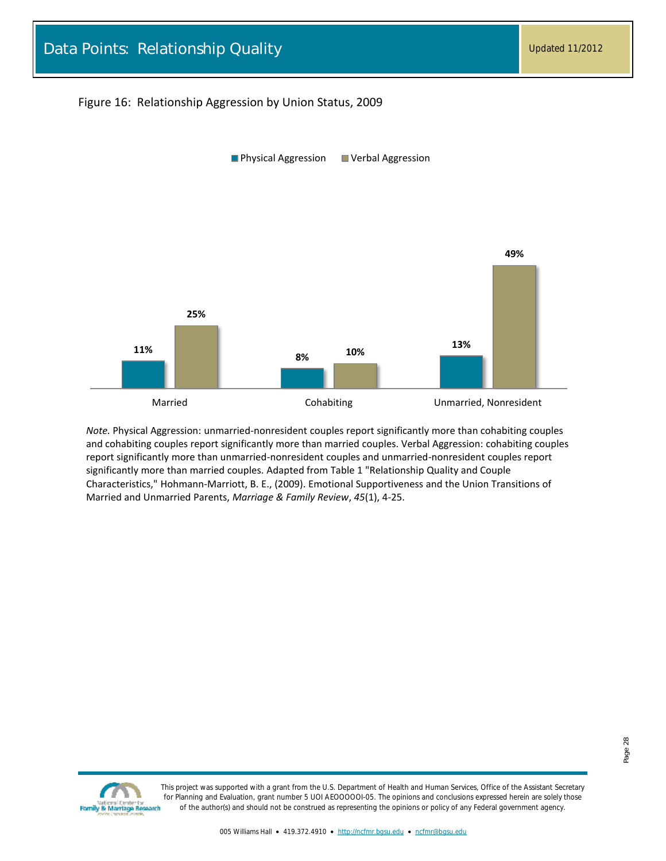#### <span id="page-27-0"></span>Figure 16: Relationship Aggression by Union Status, 2009



*Note.* Physical Aggression: unmarried-nonresident couples report significantly more than cohabiting couples and cohabiting couples report significantly more than married couples. Verbal Aggression: cohabiting couples report significantly more than unmarried-nonresident couples and unmarried-nonresident couples report significantly more than married couples. Adapted from Table 1 "Relationship Quality and Couple Characteristics," Hohmann-Marriott, B. E., (2009). Emotional Supportiveness and the Union Transitions of Married and Unmarried Parents, *Marriage & Family Review*, *45*(1), 4-25.